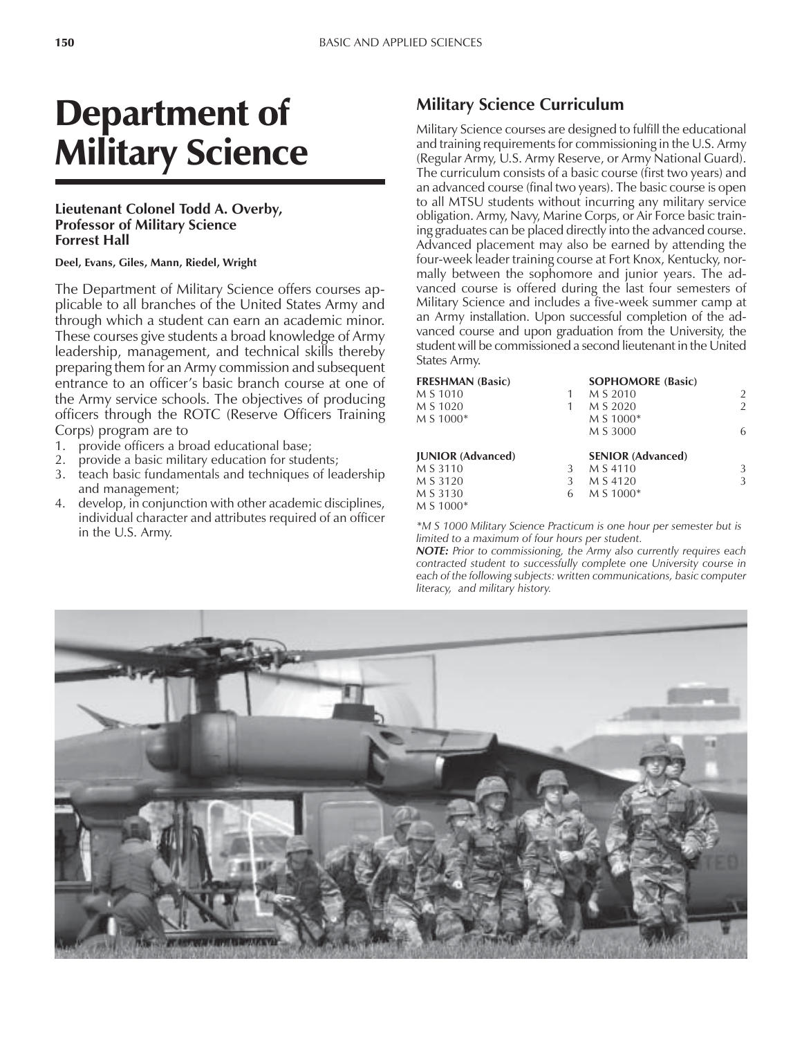# Department of Military Science

### **Lieutenant Colonel Todd A. Overby, Professor of Military Science Forrest Hall**

#### **Deel, Evans, Giles, Mann, Riedel, Wright**

The Department of Military Science offers courses applicable to all branches of the United States Army and through which a student can earn an academic minor. These courses give students a broad knowledge of Army leadership, management, and technical skills thereby preparing them for an Army commission and subsequent entrance to an officer's basic branch course at one of the Army service schools. The objectives of producing officers through the ROTC (Reserve Officers Training Corps) program are to

- 1. provide officers a broad educational base;
- 2. provide a basic military education for students;
- 3. teach basic fundamentals and techniques of leadership and management;
- 4. develop, in conjunction with other academic disciplines, individual character and attributes required of an officer in the U.S. Army.

## **Military Science Curriculum**

Military Science courses are designed to fulfill the educational and training requirements for commissioning in the U.S. Army (Regular Army, U.S. Army Reserve, or Army National Guard). The curriculum consists of a basic course (first two years) and an advanced course (final two years). The basic course is open to all MTSU students without incurring any military service obligation. Army, Navy, Marine Corps, or Air Force basic training graduates can be placed directly into the advanced course. Advanced placement may also be earned by attending the four-week leader training course at Fort Knox, Kentucky, normally between the sophomore and junior years. The advanced course is offered during the last four semesters of Military Science and includes a five-week summer camp at an Army installation. Upon successful completion of the advanced course and upon graduation from the University, the student will be commissioned a second lieutenant in the United States Army.

| <b>FRESHMAN (Basic)</b>  |   | <b>SOPHOMORE (Basic)</b> |               |
|--------------------------|---|--------------------------|---------------|
| M S 1010                 |   | M S 2010                 | 2             |
| M S 1020                 |   | M S 2020                 | $\mathcal{P}$ |
| M S 1000*                |   | M S 1000*                |               |
|                          |   | M S 3000                 | 6             |
| <b>JUNIOR</b> (Advanced) |   | <b>SENIOR</b> (Advanced) |               |
| M S 3110                 | 3 | M S 4110                 | 3             |
| M S 3120                 | 3 | M S 4120                 | 3             |
| M S 3130                 | 6 | M S 1000*                |               |
| M S 1000*                |   |                          |               |

*\*M S 1000 Military Science Practicum is one hour per semester but is limited to a maximum of four hours per student.*

*NOTE: Prior to commissioning, the Army also currently requires each contracted student to successfully complete one University course in each of the following subjects: written communications, basic computer literacy, and military history.*